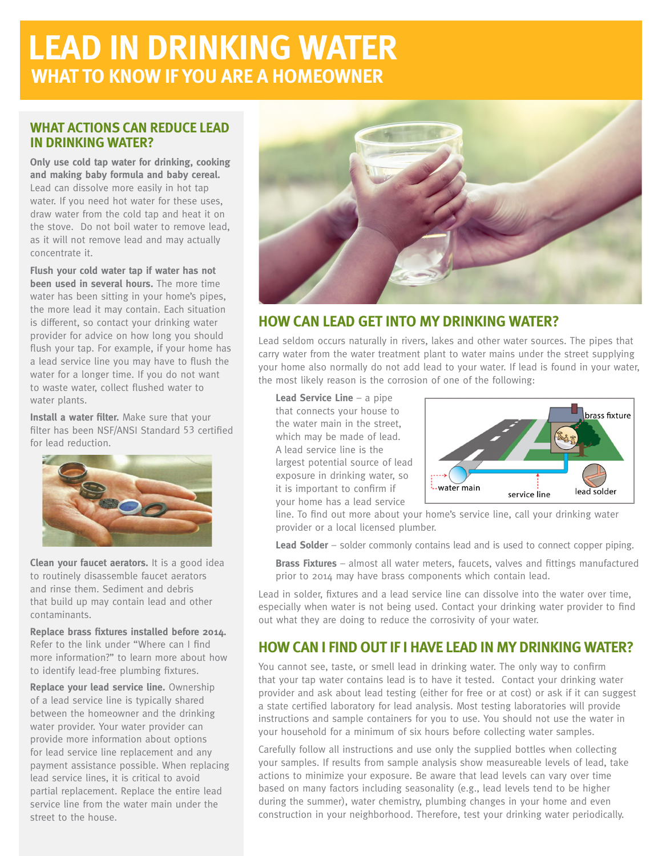# **LEAD IN DRINKING WATER WHAT TO KNOW IF YOU ARE A HOMEOWNER**

### **WHAT ACTIONS CAN REDUCE LEAD IN DRINKING WATER?**

**Only use cold tap water for drinking, cooking and making baby formula and baby cereal.** Lead can dissolve more easily in hot tap water. If you need hot water for these uses, draw water from the cold tap and heat it on the stove. Do not boil water to remove lead, as it will not remove lead and may actually concentrate it.

**Flush your cold water tap if water has not been used in several hours.** The more time water has been sitting in your home's pipes, the more lead it may contain. Each situation is different, so contact your drinking water provider for advice on how long you should flush your tap. For example, if your home has a lead service line you may have to flush the water for a longer time. If you do not want to waste water, collect flushed water to water plants.

**Install a water filter.** Make sure that your filter has been NSF/ANSI Standard 53 certified for lead reduction.



**Clean your faucet aerators.** It is a good idea to routinely disassemble faucet aerators and rinse them. Sediment and debris that build up may contain lead and other contaminants.

**Replace brass fixtures installed before 2014.**  Refer to the link under "Where can I find more information?" to learn more about how to identify lead-free plumbing fixtures.

**Replace your lead service line.** Ownership of a lead service line is typically shared between the homeowner and the drinking water provider. Your water provider can provide more information about options for lead service line replacement and any payment assistance possible. When replacing lead service lines, it is critical to avoid partial replacement. Replace the entire lead service line from the water main under the street to the house.



## **HOW CAN LEAD GET INTO MY DRINKING WATER?**

Lead seldom occurs naturally in rivers, lakes and other water sources. The pipes that carry water from the water treatment plant to water mains under the street supplying your home also normally do not add lead to your water. If lead is found in your water, the most likely reason is the corrosion of one of the following:

**Lead Service Line** – a pipe that connects your house to the water main in the street, which may be made of lead. A lead service line is the largest potential source of lead exposure in drinking water, so it is important to confirm if your home has a lead service



line. To find out more about your home's service line, call your drinking water provider or a local licensed plumber.

**Lead Solder** – solder commonly contains lead and is used to connect copper piping.

**Brass Fixtures** – almost all water meters, faucets, valves and fittings manufactured prior to 2014 may have brass components which contain lead.

Lead in solder, fixtures and a lead service line can dissolve into the water over time, especially when water is not being used. Contact your drinking water provider to find out what they are doing to reduce the corrosivity of your water.

# **HOW CAN I FIND OUT IF I HAVE LEAD IN MY DRINKING WATER?**

You cannot see, taste, or smell lead in drinking water. The only way to confirm that your tap water contains lead is to have it tested. Contact your drinking water provider and ask about lead testing (either for free or at cost) or ask if it can suggest a state certified laboratory for lead analysis. Most testing laboratories will provide instructions and sample containers for you to use. You should not use the water in your household for a minimum of six hours before collecting water samples.

Carefully follow all instructions and use only the supplied bottles when collecting your samples. If results from sample analysis show measureable levels of lead, take actions to minimize your exposure. Be aware that lead levels can vary over time based on many factors including seasonality (e.g., lead levels tend to be higher during the summer), water chemistry, plumbing changes in your home and even construction in your neighborhood. Therefore, test your drinking water periodically.